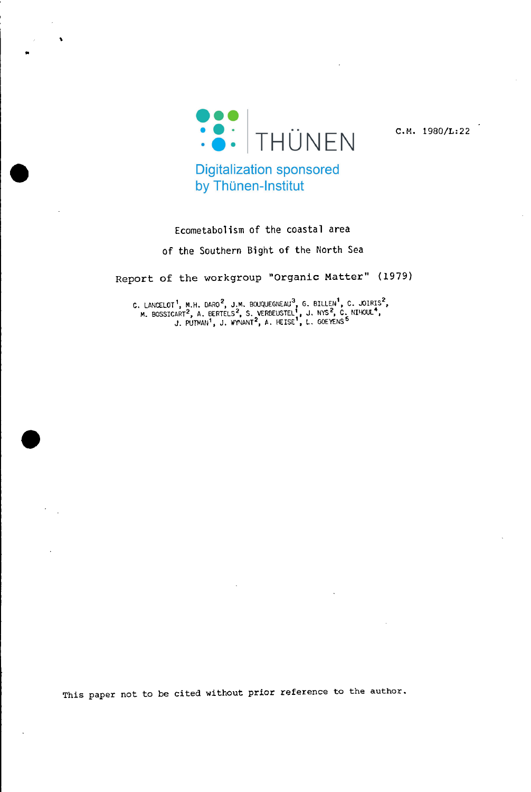

 $\bullet$ 

C.M. 1980/L:22

**Digitalization sponsored** by Thünen-Institut

# Ecometabolism of the coastal area

of the Southern Bight of the North Sea

Report of the workgroup "Organic Matter" (1979)

C. LANCELOT<sup>1</sup>, M.H. DARO<sup>2</sup>, J.M. BOUQUEGNEAU<sup>3</sup>, G. BILLEN<sup>1</sup>, C. JOIRIS<sup>2</sup>,<br>M. BOSSICART<sup>2</sup>, A. BERTELS<sup>2</sup>, S. VERBEUSTEL<sup>1</sup>, J. NYS<sup>2</sup>, C. NIHOUL<sup>4</sup>,<br>J. PUTMAN<sup>1</sup>, J. WYNANT<sup>2</sup>, A. HEISE<sup>1</sup>, L. GOEYENS<sup>5</sup>

This paper not to be cited without prior reference to the author.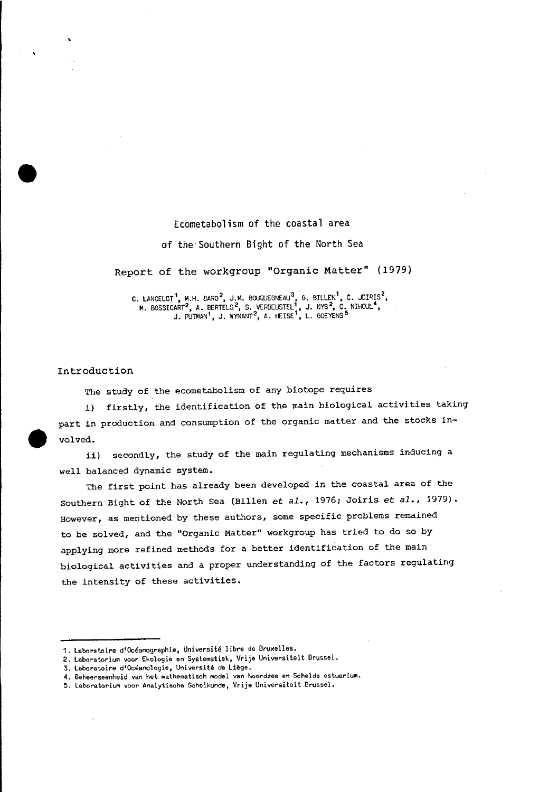# Ecometabolism of the coastal area

### of the'Southern Bight of the North Sea

# Report of the workgroup "Organic Matter" (1979)

C. LANCELOT<sup>1</sup>, M.H. DARO<sup>2</sup>, J.M. BOUQUEGNEAU<sup>3</sup>, G. BILLEN<sup>1</sup>, C. JOIRIS<sup>2</sup>,<br>M. BOSSICART<sup>2</sup>, A. BERTELS<sup>2</sup>, S. VERBEUSTEL<sup>1</sup>, J. NYS<sup>2</sup>, C. NIHOUL<sup>4</sup>,<br>J. PUTMAN<sup>1</sup>, J. WYNANT<sup>2</sup>, A. HEISE<sup>1</sup>, L. GOEYENS<sup>5</sup>

## Introduction

The study of the ecometabolism of any biotope requires

i) firstly, the identification of the main biological activities taking part in production and consumption of the organic matter and the stocks in-<br>volved.

*ii)* secondly, the study of the main regulating mechanisms inducing <sup>a</sup> well balanced dynamic system.

The first point has already been developed in the coastal area of the Southern Bight of the North Sea (Billen *et al.,* 1976; Joiris *et al.,* 1979). However, as mentioned by these authors, some specific problems remained to be solved, and the "Organic Matter" workgroup has tried to do so by applying more refined methods for a better identification of the main biological activities and a proper understanding of the factors regulating the intensity of these activities.

<sup>1.</sup> Laboratoire d'Océanographie, Université libre de Bruxelles.

**<sup>2.</sup> laboratorium voor Ekologie an Systematiek, Vrije Universiteit Brussel.**

**<sup>3.</sup> Laboratoire d'Oceanologie, Universite da Liege.**

**<sup>4.</sup> Beheerseenheid van het mathematisch model van Noordzee an ScheIde estuarium.**

**<sup>5.</sup> Laboratorium vaor Analytiscl1e Scheikunde, Vrije Universiteit BrusseL**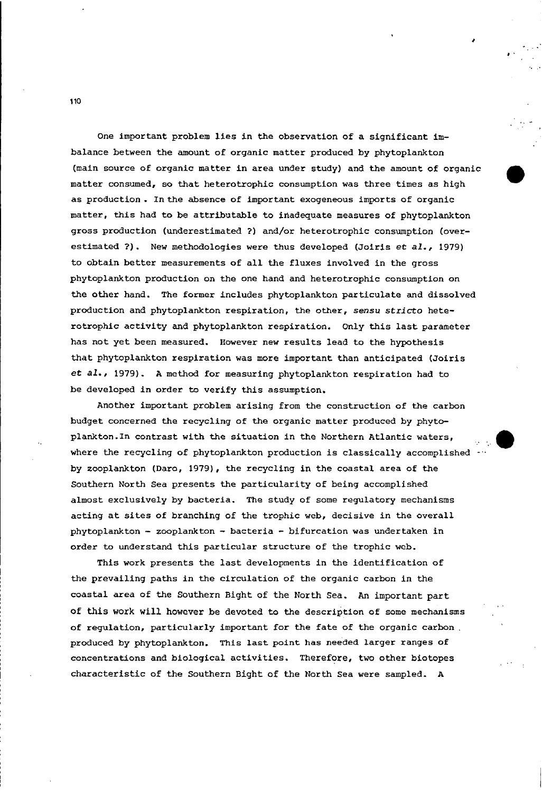One important problem lies in the observation of a significant imbalance between the amount of organic matter produced by phytoplankton (main source of organic matter in area under study) and the amount of organic matter consumed, so that heterotrophie eonsumption was three times as high as produetion. Inthe absence of important exogeneous imports of organic matter, this had to be attributable to inadequate measures of phytoplankton gross produetion (underestimated ?) and/or heterotrophie consumption (overestimated ?). New methodologies were thus developed (Joiris et *al., 1979)* to obtain better measurements of all the fluxes involved in the gross phytoplankton produetion on the one hand and heterotrophie consumption on the other hand. The former ineludes phytoplankton particulate and dissolved production and phytoplankton respiration, the Other, sensu *stricto* heterotrophie aetivity and phytoplankton respiration. Only this last parameter has not yet been measured. However new results lead to the hypothesis that phytoplankton respiration was more important than anticipated (Joiris *et al.,* 1979). A method for measuring phytoplankton respiration had to be developed in order to verify this assumption.

**•** 

Another important problem arising from the eonstruetion of the carbon budget concerned the recycling of the organic matter produced by phytoplankton.ln contrast with the situation in the Northern Atlantie waters, where the recycling of phytoplankton production is classically accomplished by zooplankton (Daro, 1979), the recycling in the coastal area of the Southern North Sea presents the particularity of being accomplished almost exclusively by bacteria. The study of some regulatory mechanisms acting at sites of branching of the trophic web, decisive in the overall phytoplankton - zooplankton - bacteria - bifurcation was undertaken in order to understand this particular structure of the trophic web.

This work presents the last developments in the identification of the prevailing paths in the circulation of the organic carbon in the coastal area of the Southern Bight of the North Sea. An important part of this work will however be devoted to the description of some mechanisms of regulation, particularly important for the fate of the organic carbon. produced by phytoplankton. This last point has needed larger ranges of eoncentrations and biological aetivities. Therefore, two other biotopes charaeteristic of the Southern Bight of the North Sea were sampled. A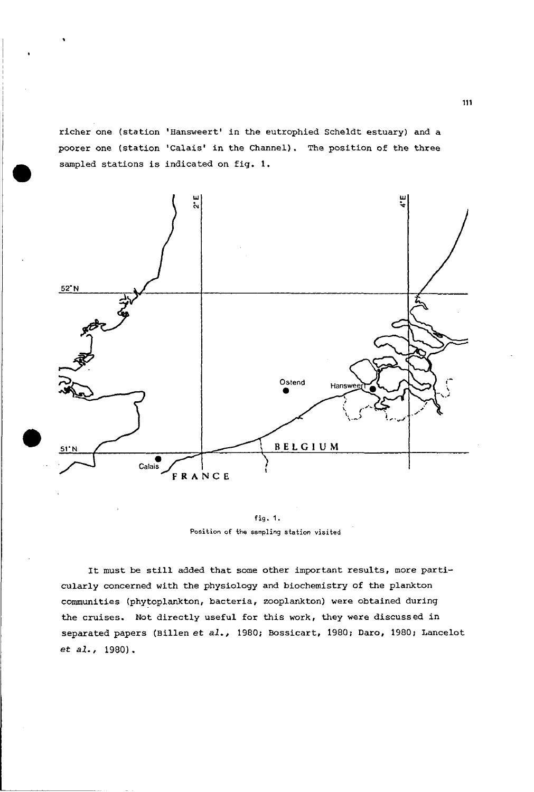richer one (station 'Hansweert' in the eutrophied Scheldt estuary) and a poorer one (station 'Calais' in the Channel). The position of the three sampled stations is indicated on fig. 1.



fig. 1. **Position of ihe sampling station visited**

It must be still added that some other important results, more particularly concerned with the physiology and biochemistry of the plankton communities (phytoplankton, bacteria, zooplankton) were obtained during the cruises. Not directly useful for this work, they were discussed in separated papers (Billen et *al.,* 1980; Bossicart, 1980; Daro, 1980; Lancelot et *al.,* 1980).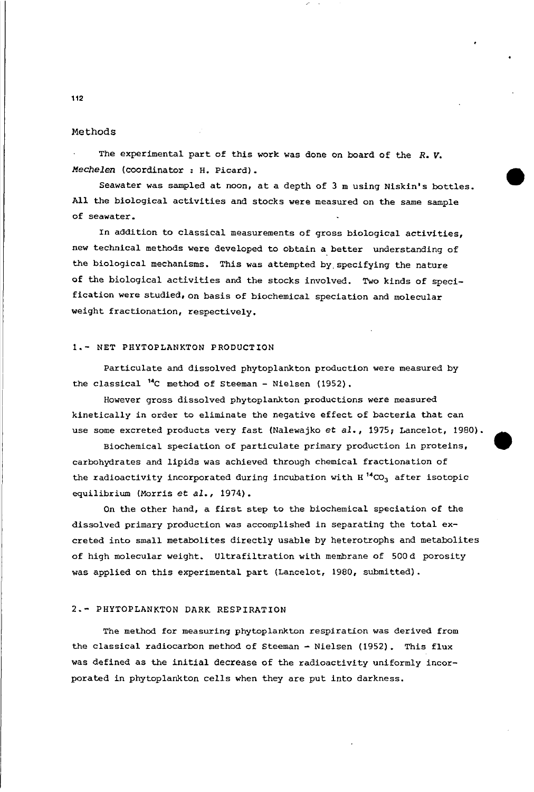### Methods

The experimental part of this work was done on board of the *R. V. Mechelen* (coordinator : H. Picard).

Seawater was sampled at noon, at <sup>a</sup> depth of 3 m usinq Niskin's bottles. All the biologieal aetivities and stocks were measured on the same sample of seawater.

•

In addition to classical measurements of gross biologieal activities, new teehnieal methods were developed to obtain a better understandinq of the biological mechanisms. This was attempted by specifying the nature of the bioloqical activities and the stocks involved. Two kinds of specifieation were studied, on basis of biochemical speciation and molecular weiqht fraetionation, respectively.

# 1.- NET PHYTOPLANKTON PRODUCTION

Particulate and dissolved phytoplankton produetion were measured by the classical <sup>14</sup>C method of steeman - Nielsen (1952).

However qross dissolved phytoplankton productions were measured kinetically in order to eliminate the negative effect of baeteria that can use some excreted products very fast (Nalewajko *et al.,* 1975; Lancelot, 1980).

Biochemical speciation of particulate primary produetion in proteins, earbohydrates and lipids was achieved through chemieal fractionation of the radioactivity incorporated during incubation with  $H^{14}CO<sub>3</sub>$  after isotopic equilibrium (Morris et *al., 1974).*

On the other hand, <sup>a</sup> first step to the biochemical speciation of the dissolved primary production was aeeomplished in separatinq the total excreted into small metabolites directly usable by heterotrophs and metabolites of high molecular weight. Ultrafiltration with membrane of 500d porosity was applied on this experimental part (Lancelot, 1980, submitted).

## 2.- PHYTOPLANKTON DARK RESPIRATION

The method for measuring phytoplankton respiration was derived from the elassieal radiocarbon method of Steeman - Nielsen (1952). This flux was defined as the initial decrease of the radioactivity uniformly ineorporated in phytoplankton cells when they are put into darkness.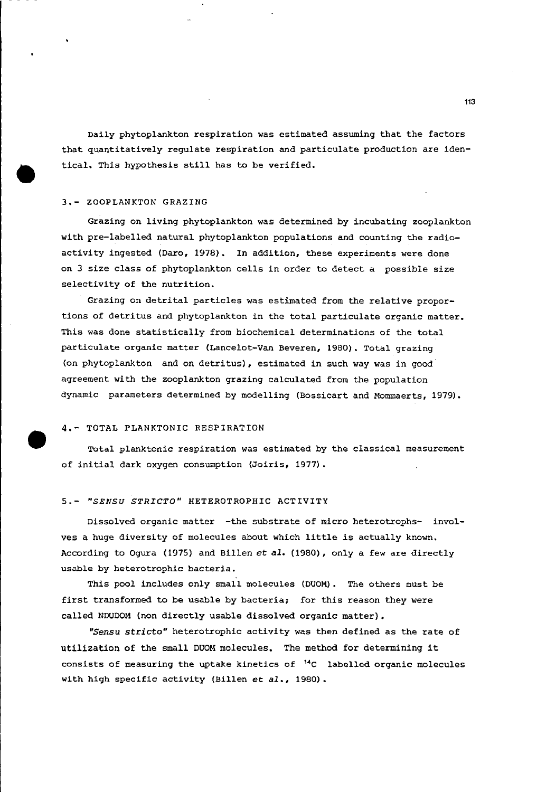Daily phytoplankton respiration was estimated assuming that the faetors that quantitatively regulate respiration and partieulate produetion are identical. This hypothesis still has to be verified.

# 3.- ZOOPLANKTON GRAZING

Grazing on living phytoplankton was determined by ineubating zooplankton with pre-labelled natural phytoplankton populations and eounting the radioactivity ingested (Daro, 1978). In addition, these experiments were done on 3 size elass of phytoplankton eells in order to deteet a possible size seleetivity of the nutrition.

Grazing on detrital partieles was estimated from the relative proportions of detritus and phytoplankton in the total partieulate organie matter. This was done statistically from biochemical determinations of the total partieulate organie matter (Laneelot-Van Beveren, 1980). Total grazing (on phytoplankton and on detritus), estimated in such way was in good agreement with the zooplankton grazing ealeulated from the population dynamic parameters determined by modelling (Bossieart and Mommaerts, 1979).

### 4.- TOTAL PLANKTONIC RESPIRATION

**•** 

Total planktonic respiration was estimated by the elassieal measurement of initial dark oxygen eonsumption (Joiris, 1977).

### *5.- ·SENSU STRICTO·* HETEROTROPHIC ACTIVITY

Dissolved organic matter -the substrate of micro heterotrophs- involves <sup>a</sup> huge diversity of moleeules about whieh little is actually known. Aeeording to Ogura (1975) and Billen *et al.* (1980), onlya few are direetly usable by heterotrophie baeteria.

This pool includes only small moleeules (DUOM). The others must be first transformed to be usable by bacteria; for this reason they were called NDUDOM (non direetly usable dissolved organic matter).

*·Sensu stricto·* heterotrophie aetivity was then defined as the rate of utilization of the small DUOM moleeules. The method for determining it consists of measuring the uptake kinetics of  $14C$  labelled organic molecules with high specific activity (Billen et *al.,* 1980).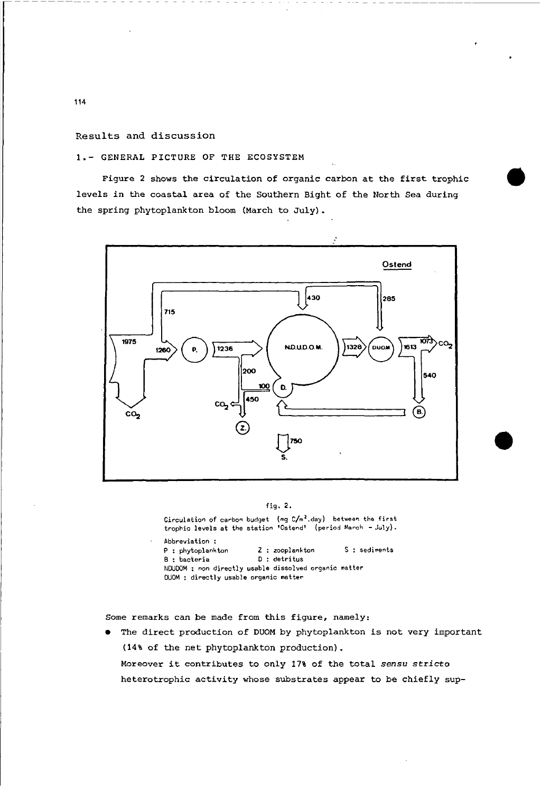Results and discussion

**1.-** GENERAL PICTURE OF THE ECOSYSTEM

Figure <sup>2</sup> shows the eireulation of organic carbon at the first trophic levels in the eoastal area of the Southern Bight of the North Sea during the spring phytoplankton bloom (March to July).



# fig. 2.

Circulation of carbon budget (mg C/m<sup>2</sup>.day) between the first<br>trophic levels at the station 'Ostend' (period March - July).

**Abbreviation :** P : phytoplankton **Z** : zooplankton **S** : sediments B **: bacteria 0 : detri tus NOUDOM : non directly usable dissolved organic matter OUOM : directly usable organic matter**

Some remarks can be made from this figure, namely:

• The direct production of DUOM by phytoplankton is not very important (14% of the net phytoplankton production).

Moreover it eontributes to on1y 17% of the total *sensu strieto* heterotrophie activity whose substrates appear to be ehiefly sup-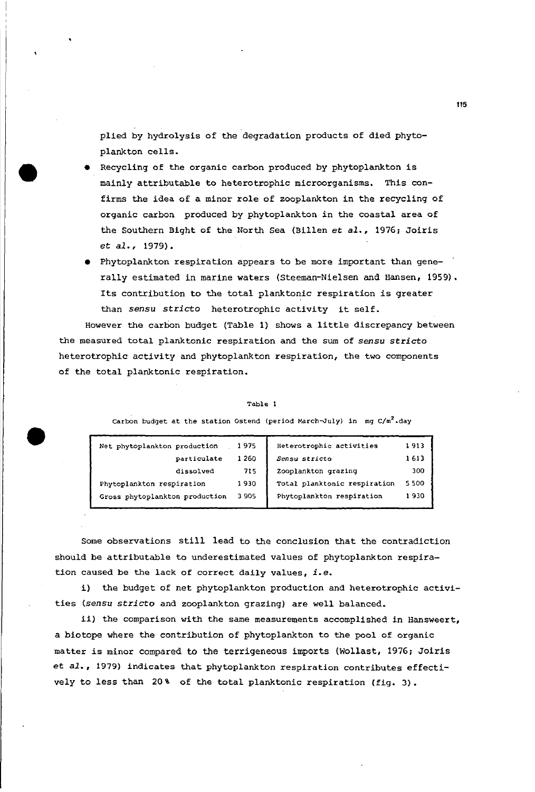plied by hydrolysis of the degradation products of died phytoplankton cells.

**•** 

•

- Recycling of the organic carbon produced by phytoplankton is mainly attributable to heterotrophie microorganisms. This confirms the idea of a minor role of zooplankton in the recycling of organic carbon produced by phytoplankton in the coastal area of the Southern Bight of the North Sea (Billen et *al.,* 1976, Joiris et *al., 1979).*
- Phytoplankton respiration appears to be more important than generally estimated in marine waters (Steeman-Nielsen and Hansen, 1959). Its eontribution to the total planktonie respiration is greater than *sensu strieto* heterotrophie aetivity it self.

However the earbon budget (Table 1) shows <sup>a</sup> little diserepaney between the measured total planktonie respiration and the sum of *sensu strieto* heterotrophie aetivity and phytoplankton respiration, the two eomponents of the total planktonie respiration.

**Table 1**

**Carbon budget at the station Ostend (period March-vuly) in mg C/m<sup>2</sup> .day**

| Net phytoplankton production   | 1975  | Heterotrophic activities     | 1913 |
|--------------------------------|-------|------------------------------|------|
| particulate                    | 1 260 | Sensu stricto                | 1613 |
| dissolved                      | 715   | Zooplankton grazing          | 300  |
| Phytoplankton respiration      | 1930  | Total planktonic respiration | 5500 |
| Gross phytoplankton production | 3 905 | Phytoplankton respiration    | 1930 |
|                                |       |                              |      |

Some observations still lead to the conclusion that the contradiction should be attributable to underestimated values of phytoplankton respiration eaused be the lack of eorrect daily values, *i.e.*

i) the budget of net phytoplankton production and heterotrophic activities (sensu *strieto* and zooplankton grazing) are weIl balaneed.

ii) the comparison with the same measurements accomplished in Hansweert, a biotope where the eontribution of phytoplankton to the pool of organie matter is minor eompared to the terrigeneous imports (wollast, 1976, Joiris et *al.,* 1979) indicates that phytoplankton respiration eontributes effeetively to less than  $20\%$  of the total planktonic respiration (fig. 3).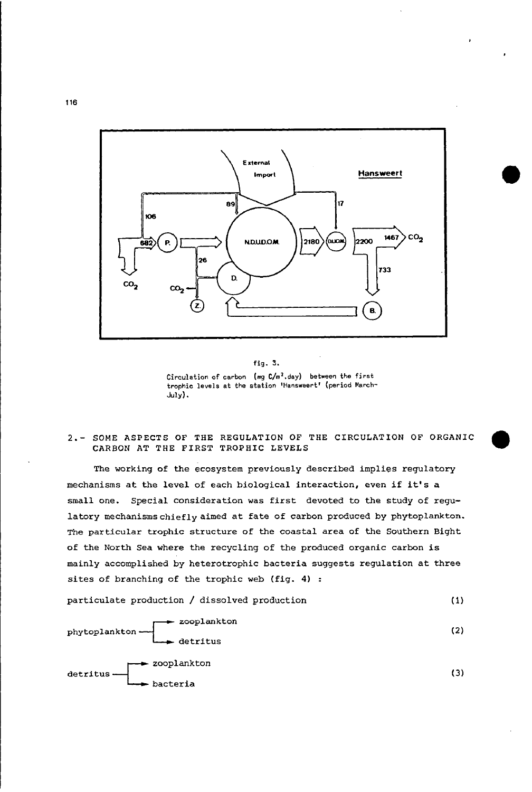

**•** 

fig. 3. Circulation of carbon (mg  $C/m^2$ .day) between the first **trophic levels at the station 'Hansweert.' (period March-**July).

# 2.- SOME ASPECTS OF THE REGULATION OF THE CIRCULATION OF ORGANIC CARBON AT THE FIRST TROPHIC LEVELS

The working of the ecosystem previously described implies regulatory mechanisms at the level of each biological interaction, even if it's <sup>a</sup> small one. Special consideration was first devoted to the study of regulatory mechanismschieflyaimed at fate of carbon produced by phytoplankton. The particular trophic structure of the coastal area of the Southern Bight of the North Sea where the recycling of the produced organic carbon is mainly accomplished by heterotrophie bacteria suggests regulation at three sites of branching of the trophic web (fig. 4) :

partieulate production / dissolved production (1)

zooplankton phytoplankton detritus -czooplankton detritus bacteria (2) (3)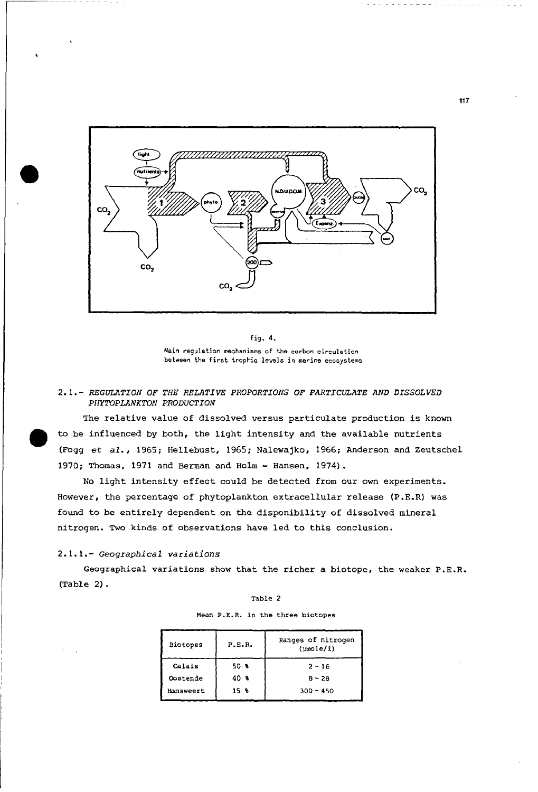

fig. 4.  $M$ ain regulation mechanisms of the carbon circulation between the first trophic levels in marine ecosystems

### 2.1. - *REGULATION OF TElE RELATIVE PROPORTIONS OF PARTICULATE AND DISSOLVED PHYTOPLANKTON PRODUCTION*

The relative value of dissolved versus particulate production is known to be influenced by both, the light intensity and the available nutrients (Fogg *et al.,* 1965; Hellebust, 1965; Nalewajko, 1966; Anderson and Zeutschel 1970; Thomas, 1971 and Berman and Holm - Hansen, 1974).

No light intensity effect could be detected from our own experiments. However, the percentage of phytoplankton extracellular release (P.E.R) was found to be entirely dependent on the disponibility of dissolved mineral nitrogen. Two kinds of observations have led to this conclusion.

# *2.1.1.- Geographical variations*

Geographical variations show that the richer a biotope, the weaker P.E.R. (Table 2).

### Table 2

**Mean P.E.R. in the three biotopes**

| <b>Biotopes</b> | P.E.R. | Ranges of nitrogen<br>(umole/l) |
|-----------------|--------|---------------------------------|
| Calais          | 50 %   | $2 - 16$                        |
| Oostende        | 40 %   | $8 - 28$                        |
| Hansweert       | 15 %   | $300 - 450$                     |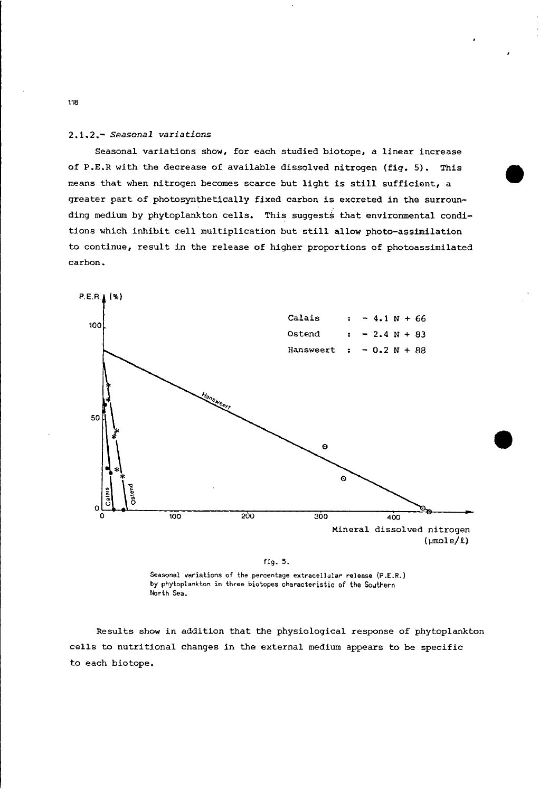## *2.1.2.- Seasonal variations*

Seasonal variations show, for each studied biotope, a linear increase of P.E.R with the decrease of available dissolved nitrogen (fig. 5). This means that when nitrogen becomes scarce but light is still sufficient, <sup>a</sup> greater part of photosynthetically fixed carbon is excreted in the surrounding medium by phytoplankton cells. This suggests that environmental conditions which inhibit cell multiplication but still allow photo-assimilation to continue, result in the release of higher proportions of photoassimilated carbon.

•



fig. 5.

Seasonal variations of the percentage extracellular release  $(P.E.R.)$ by phytoplankton in three biotopes characteristic of the Southern North Sea.

Results show in addition that the physiological response of phytoplankton cells to nutritional changes in the external medium appears to be specific to each biotope.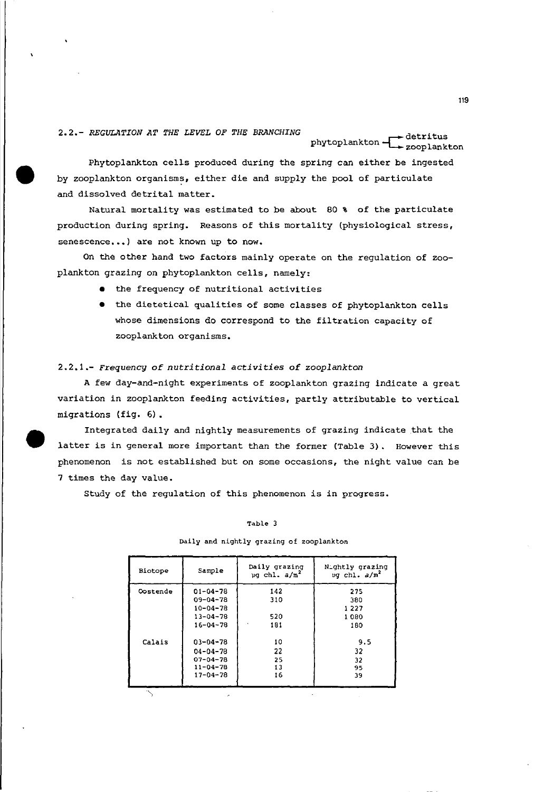# *2.2.- REGULATION AT THE LEVEL OF THE BRANCHING*

# phytoplankton - detritus<br>zooplankton

Phytoplankton cells produced during the spring can either be ingested by zooplankton organisms, either die and supply the pool of particulate and dissolved detrital matter.

Natural mortality was estimated to be about 80 % of the particulate production during spring. Reasons of this mortality (physiological stress, senescence...) are not known up to now.

On the other hand two factors mainly operate on the regulation of zooplankton grazing on phytoplankton cells, namely:

- the frequency of nutritional activities
- the dietetical qualities of some classes of phytoplankton cells whose dimensions do correspond to the filtration capacity of zooplankton organisms.

# *2.2.1.- Frequency* of *nutritional activities* of *zooplankton*

•

A few day-and-night experiments of zooplankton grazing indicate a great variation in zooplankton feeding activities, partly attributable to vertical migrations (fig. 6).

Integrated daily and nightly measurements of grazing indicate that the latter is in general more important than the former (Table 3). However this phenomenon is not established but on some occasions, the night value can be 7 times the day value.

Study of the regulation of this phenomenon is in progress.

### Table 3

# Biotope **Sample** Daily grazing N\_ghtly grazing<br>
ug chl. a/m<sup>2</sup> ug chl. a/m<sup>2</sup> ~g ehl. *alm' ug* **chl.** *a/m<sup>2</sup>* **Oostende** 01-04-78 142 275<br>09-04-78 310 380 09-04-78 310 380<br>10-04-78 310 1227  $10-04-78$   $1227$ <br> $13-04-78$  520  $1080$  $\begin{array}{c|ccccc}\n 13-04-78 & & & 520 & & & 1080 \\
 16-04-78 & & & 181 & & & 180\n \end{array}$  $16 - 04 - 78$ Calais 03-04-78 10 9.5 04-04-78 22 32<br>07-04-78 25 32 07-04-78 25 32<br>11-04-78 13 95<br>17-04-78 16 39

### oaily and nightly grazing of zooplankton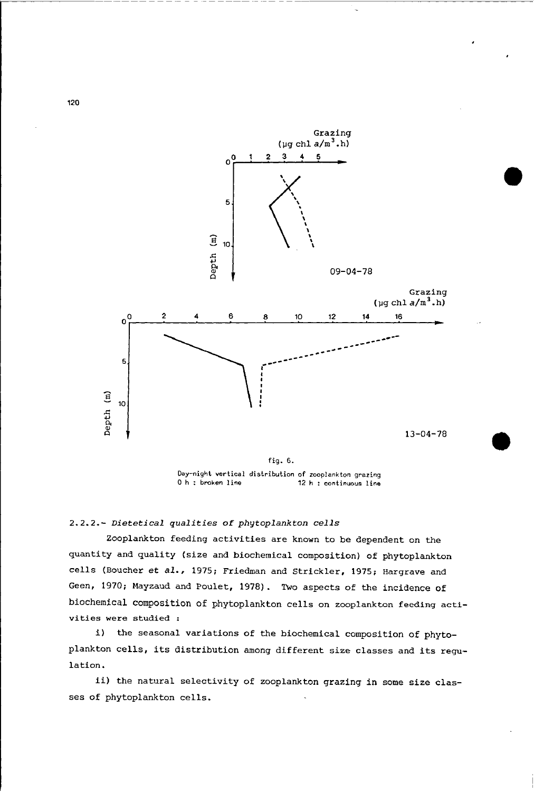

**Day-night vertical distribution of zooplankton grazing** o <sup>h</sup> **: broken line <sup>12</sup> <sup>h</sup> : continuous line**

*2.2.2.- Dietetical qualities* of *phytoplankton cells*

Zooplankton feeding activities are known to be dependent on the quantity and quality (size and biochemical composition) of phytoplankton cells (Boucher *et al.,* 1975; Friedman and Strickler, 1975; Hargrave and Geen, 1970; Mayzaud and Poulet, 1978). Two aspects of the incidence of biochemical composition of phytoplankton cells on zooplankton feeding acti**vities were studied :**

i) the seasonal variations of the biochemical composition of phytoplankton cells, its distribution among different size classes and its regulation.

ii) the natural selectivity of zooplankton grazing in some size classes of phytoplankton cells.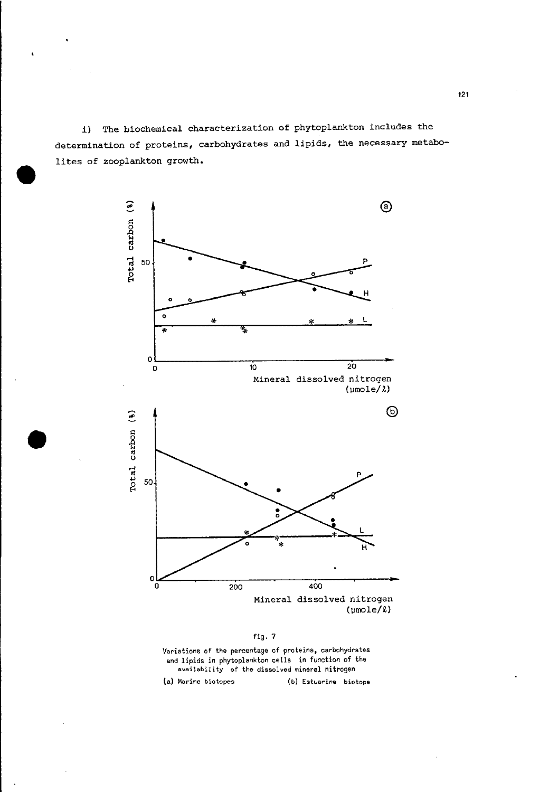i) The biochemical characterization of phytoplankton includes the determination of proteins, carbohydrates and lipids, the necessary metabolites of zooplankton growth.



fig. 7

**Variations cf the percentage of proteins, carbohydrates** and lipids in phytoplankton cells in function of the **availability of the dissolved mineral nitrogen**

**(a) Marine biotopes (b) Estuarine biotope**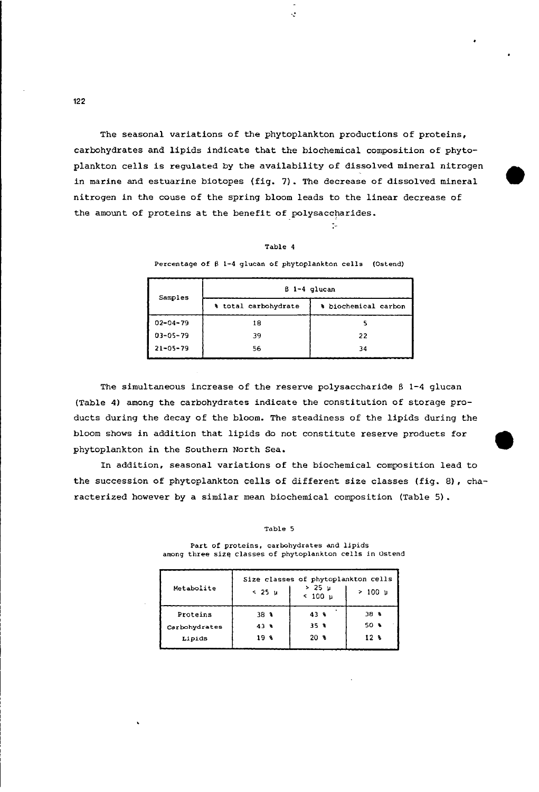The seasonal variations of the phytoplankton productions of proteins, carbohydrates and lipids indicate that the biochemical composition of phytoplankton cells is regulated by the availability of dissolved mineral nitrogen in marine and estuarine biotopes (fig. 7). The decrease of dissolved mineral nitrogen in the couse of the spring bloom leads to the linear decrease of the amount of proteins at the benefit of polysaccharides.

•

·:

### Table 4

 $\mathcal{A}_{\mathbf{a}}$ 

**Percentage of B 1-4 glucan cf phytoplankton cells (Ostend)**

| Samples        | B 1-4 glucan         |                      |  |  |
|----------------|----------------------|----------------------|--|--|
|                | % total carbohydrate | % biochemical carbon |  |  |
| $02 - 04 - 79$ | 18                   |                      |  |  |
| $03 - 05 - 79$ | 39                   | 22                   |  |  |
| $21 - 05 - 79$ | 56                   | 34                   |  |  |

The simultaneous increase of the reserve polysaccharide  $\beta$  1-4 glucan (Table 4) among the carbohydrates indicate the constitution of storage products during the decay of the bloom. The steadiness of the lipids during the bloom shows in addition that lipids do not constitute reserve products for phytoplankton in the Southern North Sea.

In addition, seasonal variations of the biochemical composition lead to the succession of phytoplankton cells of different size classes (fig. 8), characterized however by a similar mean biochemical composition (Table 5).

### Table 5

Size classes of phytoplankton cells<br> $\begin{array}{ccc} 2.36 & 1 \end{array}$   $\rightarrow 25$   $\mu$  1  $\rightarrow 100$  n Metabolite < 25 µ  $\left\{\n \begin{array}{ccc}\n & \times & 25 & \mu \\
\hline\n & \times & 100 & \mu\n \end{array}\n \right\}\n \rightarrow 100$ **Proteins** | 38 \ 43 \ 38 \ Carbohydrates 43 \ 35 \ 50 \ **Lipids** 19 \ 20 \ 12 \

**Part of proteins, carbohydrates and lipids among three** slz~ **classes of phytoplankton cells in Ostend**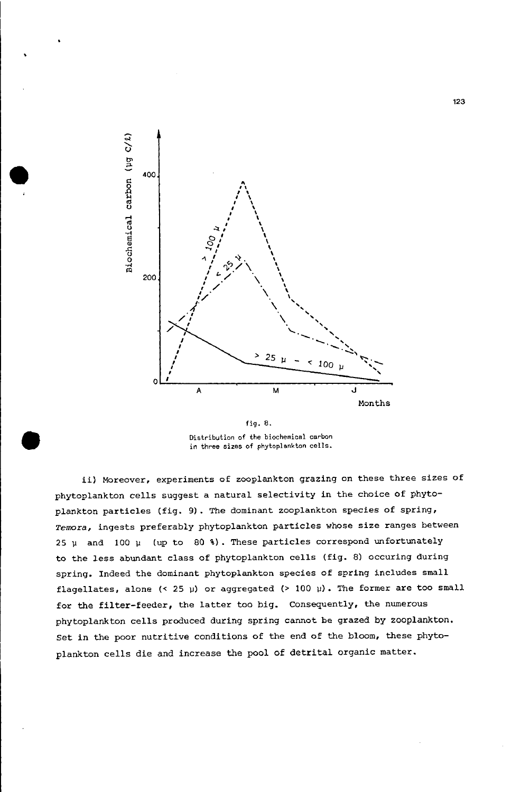

fig. 8. **Distribution cf the biochemical carbon in three sizes of phytoplankton cells.**

ii) Moreover, experiments of zooplankton grazing on these three sizes of phytoplankton cells suggest a natural selectivity in the choice of phytoplankton particles (fig. 9). The dominant zooplankton species of spring, *Temora,* ingests preferably phytoplankton particles whose size ranges between *25 V* and 100 *V* (up to 80 %). These particles correspond unfortunately to the less abundant class of phytoplankton cells (fig. 8) occuring during spring. Indeed the dominant phytoplankton species of spring includes small flagellates, alone (< 25 *V*) or aggregated (> 100 *V*). The former are too small for the filter-feeder, the latter too big. Consequently, the numerous phytoplankton cells produced during spring cannot be grazed by zooplankton. Set in the poor nutritive conditions of the end of the bloom, these phytoplankton cells die and increase the pool of detrital organic matter.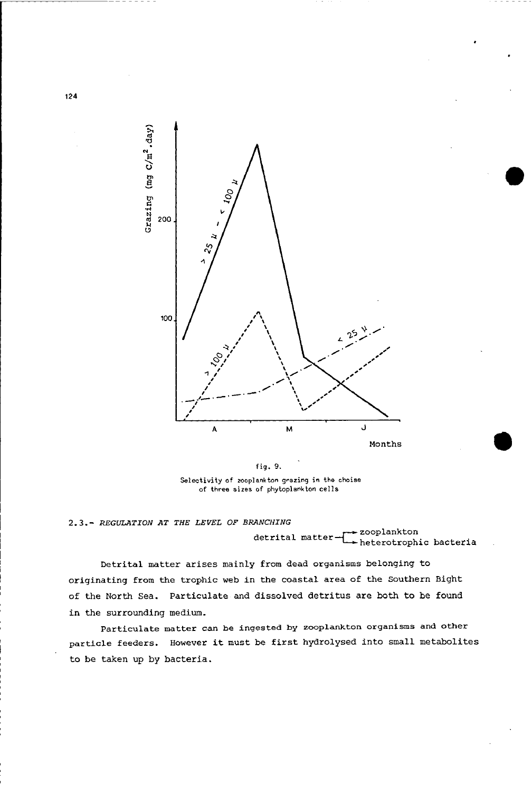

 $S^{e}$  **Selectivity** of *z*ooplankton grazing in the choise **cf three sizes of phytoplankton cells**

# *2.3.- REGULATION AT THE LEVEL OF BRANCHING*

detrital matter $\begin{array}{c}\n \begin{array}{c}\n \text{z}}\n \\ \text{heterotrophic bacteria}\n \end{array}\n \end{array}$ 

Detrital matter arises mainly from dead organisms belonging to originating from the trophic web in the coastal area of the Southern Bight of the North Sea. Particulate and dissolved detritus are both to be found in the surrounding medium.

Particulate matter can be ingested by zooplankton organisms and other particle feeders. However it must be first hydrolysed into small metabolites to be taken up by bacteria.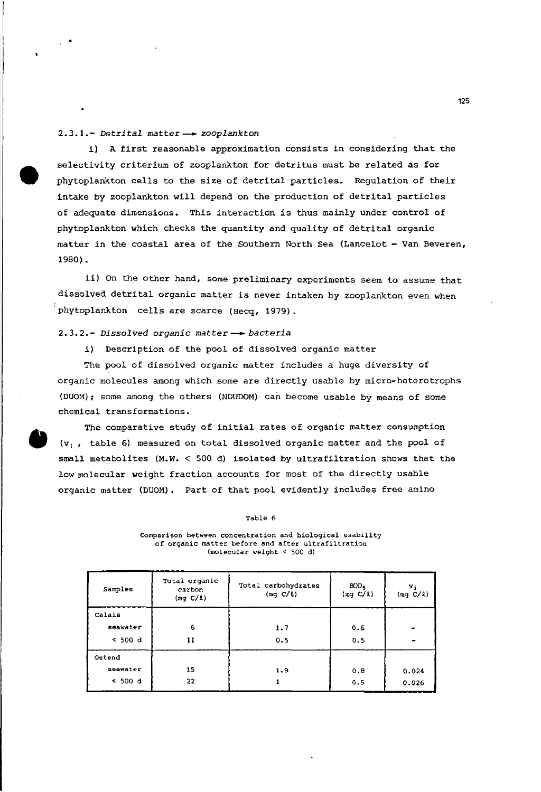### *2.3.1.- Detrital matter- zooplankton*

i) <sup>A</sup> first reasonable approximation consists in considering that the selectivity criterium of zooplankton for detritus must be related as for phytoplankton cells to the size of detrital particles. Regulation of their intake by zooplankton will depend on the production of detrital particles of adequate dimensions. This interaction is thus mainly under control of phytoplankton which checks the quantity and quality of detrital organic matter in the coastal area of the Southern North Sea (Lancelot - Van Beveren, 1980).

ii) On the other hand, some preliminary experiments seem to assume that dissolved detrital organic matter is never intaken by zooplankton even when 'phytoplankton cells are scarce (Hecq, 1979).

### *2.3.2.- Dissolved organie matter* \_ *bacteria*

i) Description of the pool of dissolved organic matter

The pool of dissolved organic matter includes a huge diversity of organic molecules among which some are directly usable by micro-heterotrophs (DUOM); some among the others (NDUDOM) can become usable by means of some chemical transformations.

The comparative study of initial rates of organie matter consumption ( $v_i$ , table 6) measured on total dissolved organic matter and the pool of small metabolites (M.W. < 500 d) isolated by ultrafiltration shows that the low molecular weight fraction accounts for most of the directly usable organic matter (DUOM). Part of that pool eVidently includes free amino

### Table 6

| Samples  | Total organic<br>carbon<br>(mq C/l) | Total carbohydrates<br>(mq C/l) | BOD <sub>5</sub><br>(mq C/l) | v;<br>(mq C/l) |
|----------|-------------------------------------|---------------------------------|------------------------------|----------------|
| Calais   |                                     |                                 |                              |                |
| seawater | 6                                   | 1.7                             | 0.6                          |                |
| < 500 d  | 11                                  | 0.5                             | 0.5                          |                |
| Ostend   |                                     |                                 |                              |                |
| seawater | 15                                  | 1.9                             | 0.8                          | 0.024          |
| < 500 d  | 22                                  |                                 | 0.5                          | 0.026          |
|          |                                     |                                 |                              |                |

### **Comparison** *between* **concentration and biological usability of organic matter befere and after ultrafiltration** (molecular weight < 500 dl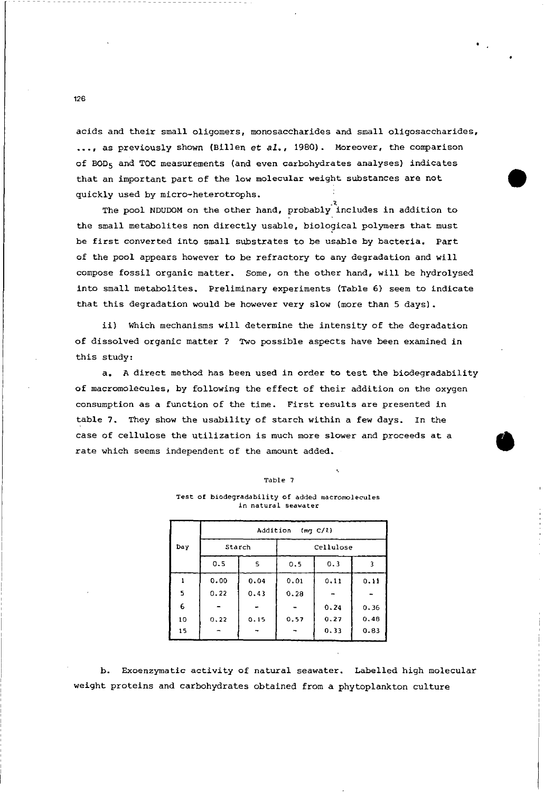acids and their small oligomers, monosaccharides and small oligosaccharides, ••• , as previously shown (Billen et *al.,* 1980). Moreover, the comparison of BOD<sub>5</sub> and TOC measurements (and even carbohydrates analyses) indicates that an important part of the low molecular weight substances are not quickly used by micro-heterotrophs.

The pool NDUDOM on the other hand, probably includes in addition to the small metabolites non directly usable, biological polymers that must be first converted into small substrates to be usable by bacteria. Part of the pool appears however to be refractory to any degradation and will compose fossil organic matter. Some, on the other hand, will be hydrolysed into small metabolites. Preliminary experiments (Table 6) seem to indicate that this degradation would be however very slow (more than 5 days).

ii) Which mechanisms will determine the intensity of the degradation of dissolved organic matter? Two possible aspects have been examined in this study:

a. A direct method has been used in order to test the biodegradability of macromolecules, by following the effect of their addition on the oxygen consumption as a function of the time. First results are presented in table 7. They show the usability of starch within a few days. In the case of cellulose the utilization is much more slower and proceeds at <sup>a</sup> rate which seems independent of the amount added.

#### Table 7

### **Test of biodegradability cf added macromolecules in natural Seawater**

|     | Addition<br>(mq C/R) |      |           |      |      |
|-----|----------------------|------|-----------|------|------|
| Day | Starch               |      | Cellulose |      |      |
|     | 0.5                  | 5    | 0.5       | 0.3  |      |
|     | 0.00                 | 0.04 | 0.01      | 0.11 | 0.11 |
| 5   | 0.22                 | 0.43 | 0.28      |      |      |
| 6   |                      |      |           | 0.24 | 0.36 |
| 10  | 0.22                 | 0.15 | 0.57      | 0.27 | 0.48 |
| 15  |                      |      |           | 0.33 | 0.83 |

b. Exoenzymatic activity of natural seawater. Labelied high molecular weight proteins and carbohydrates obtained from a phytoplankton culture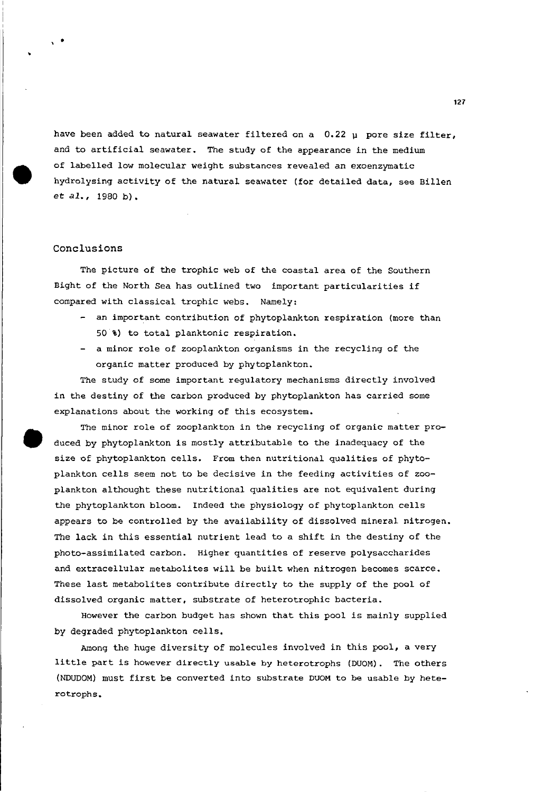have been added to natural seawater filtered on a  $0.22$   $\mu$  pore size filter, and to artificial seawater. The study of the appearance in the medium of labelied low molecular weight substances revealed an exoenzymatic hydrolysing activity of the natural seawater (for detailed data, see Billen et *al.,* <sup>1980</sup> b).

## Conclusions

The picture of the trophic web of the coastal area of the Southern Bight of the North Sea has outlined two important particularities if compared with classical trophic webs. Namely:

- an important contribution of phytoplankton respiration (more than 50 %) to total planktonic respiration.
- a minor role of zooplankton organisms in the recycling of the organic matter produced by phytoplankton.

The study of some important regulatory mechanisms directly involved in the destiny of the carbon produced by phytoplankton has carried some explanations about the working of this ecosystem.

The minor role of zooplankton in the recycling of organic matter produced by phytoplankton is mostly attributable to the inadequacy of the size of phytoplankton cells. From then nutritional qualities of phytoplankton cells seem not to be decisive in the feeding activities of zooplankton althought these nutritional qualities are not equivalent during the phytoplankton bloom. Indeed the physiology of phytoplankton cells appears to be controlled by the availability of dissolved mineral nitrogen. The lack in this essential nutrient lead to a shift in the destiny of the photo-assimilated carbon. Higher quantities of reserve polysaccharides and extracellular metabolites will be built when nitrogen becomes scarce. These last metabolites contribute directly to the supply of the pool of dissolved organic matter, substrate of heterotrophie bacteria.

However the carbon budget has shown that this pool is mainly supplied by degraded phytoplankton cells.

Among the huge diversity of molecules involved in this pool, a very little part is however directly usable by heterotrophs (DUOM). The others (NDUDOM) must first be converted into substrate DUOM to be usable by heterotrophs.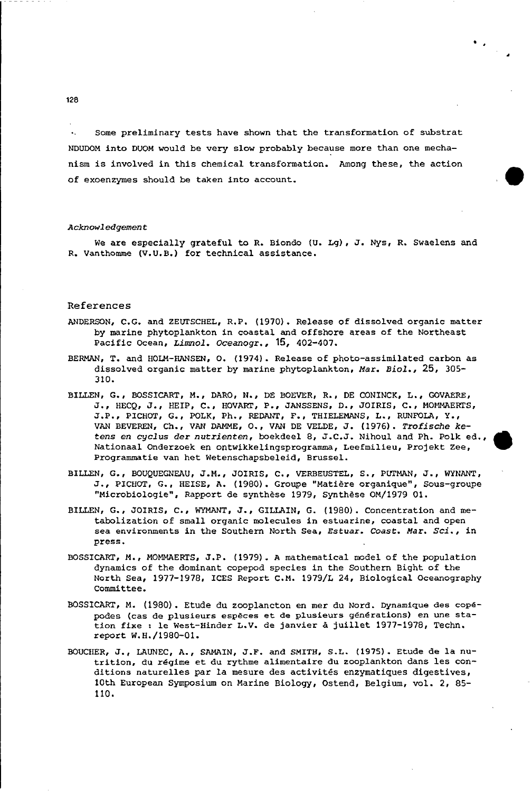Some preliminary tests have shown that the transformation of substrat  $\bullet$  . NDVDOM into *DVOM* would be very slow probably beeause more than one meehanism is involved in this ehemical transformation. Among these, the action of exoenzymes should be taken into account.

### *Acknowledgement*

We are especially grateful to R. Biondo *(V.* Lg), J. Nys, R. Swaelens and R. Vanthomme (V.V.B.) for teehnical assistanee.

### References

- ANDERSON, C.G. and ZEUTSCHEL, R.P. (1970). Release of dissolved organie matter by marine phytoplankton in eoastal and offshore areas of the Northeast Pacific Ocean, *Limnol. Oceanogr.*, 15, 402-407.
- BERMAN, T. and HOLM-HANSEN, o. (1974). Release of photo-assimilated earbon as dissolved organie matter by marine phytoplankton, Mar. *Bioi.,* 25, 305- 310.
- BILLEN, G., BOSSlCART, M., DARO, N., DE BOEVER, R., OE CONINCK, L., GOVAERE, J., HECQ, J., HEIP, C., HOVARr, P., JANSSENS, D., JOIRIS, C., MOMMAERrS, J.P., PICHOT, G., POLK, Ph., REDANT, F., THIELEMANS, L., RUNFOLA, Y., VAN BEVEREN, Ch., VAN DAMME, 0., VAN DE VELOE, J. (1976). *Trofisehe ketens en eyelus der nutrienten,* boekdeel 8, J.C.J. Nihoul and Ph. Polk ed., Nationaal Onderzoek en ontwikkelingsprogramma, Leefmilieu, Projekt Zee, Programmatie van het Wetensehapsbeleid, Brussel.
- BILLEN, G., BOUQUEGNEAU, J.M., JOIRIS, C., VERBEVSTEL, S., PUTMAN, J., WYNANT, J., PICHOT, G., HEISE, A. (1980). Groupe "Matiere organique", Sous-groupe "Microbiologie", Rapport de synthese 1979, synthese OM/1979 01-
- BILLEN, G., JOIRIS, C., WYMANT, J., GILLAlN, G. (1980). Concentration and metabolization of small organie moleeules in estuarine, coastal and open sea environments in the Southern North Sea, Estuar. *Coast. Mar. Sei.,* in press.
- BOSSlCART, M., MOMMAERrS, J.P. (1979). A mathematical model of the population dynamics of the dominant copepod speeies in the Southern Bight of the North Sea, 1977-1978, lCES Report C.M. 1979/L 24, Biologieal Oeeanography committee.
- BOSSlCART, M. (1980). Etude du zooplancton en mer du Nord. Dynamique des copepodes (eas de plusieurs especes et de plusieurs generations) en une station fixe: le West-Hinder L.V. de janvier a juillet 1977-1978, Techn. report W.H./1980-01.
- BOUCIIER, J., LAUNEC, A., SAMAIN, J.F. and SMITH, S.L. (1975). Etude de la nutrition, du regime et du rythme alimentaire du zooplankton dans les conditions naturelles par la mesure des activites enzymatiques digestives, 10th European Symposium on Marine Biology, Ostend, Belgium, vel. 2, 85- 110.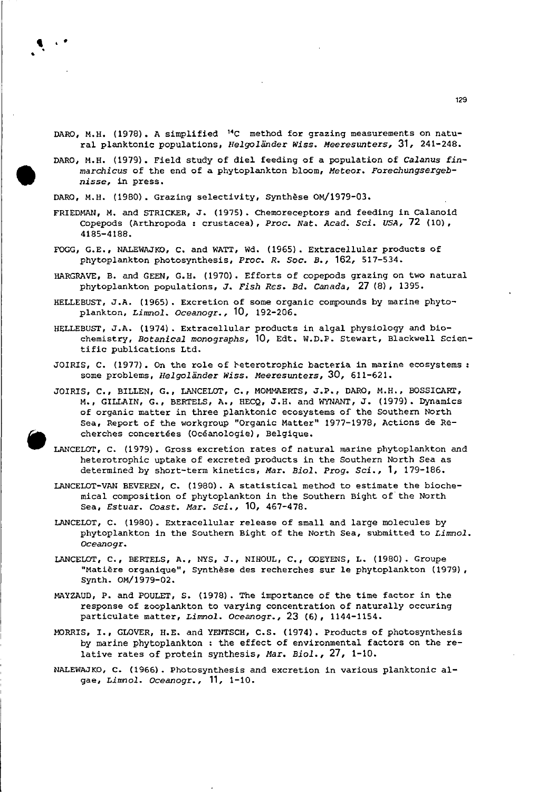- DARO, M.H. (1978). A simplified 14C method for grazing measurements on natural planktonie populations, *1lelgoländer wisse Meeresunters,* 31, 241-248.
- DARO, M.H. (1979). Field study of diel feeding of a population of *Calanus finmarchieus* of the end of a phytoplankton bloom, *Meteor. Forechungsergebnisse,* in press.

DARO, M.H. (1980). Grazing seleetivity, Synthese OM/1979-03.

- FRIEDMAN, M. and STRICKER, J. (1975). Chemoreeeptors and feeding in Calanoid Copepods (Arthropoda: erustaeea), *Proe. Nat. Aead. Sei. USA,* 72 (10), 4185-4188.
- FOGG, G.E., NALEWAJKO, C. and WATT, Wd. (1965). Extraeellular produets of phytoplankton photosynthesis, *Proe. R. Soe. B.,* 162, 517-534.
- HARGRAVE, B. and GEEN, G.H. (1970). Efforts of eopepods grazing on two natural phytoplankton populations, J. *Fish Res. Bd. Canada,* 27 (8), 1395.
- HELLEBUST, J.A. (1965). Excretion of some organie eompounds by marine phytoplankton, *Limnol. Oceanogr.,* 10, 192-206.
- HELLEBUST, J.A. (1974). Extracellular produets in algal physiology and biochemistry, *Botanieal monographs,* 10, Edt. W.D.P. Stewart, Blackwell Seientific publieations Ltd.
- JOIRIS, C. (1977). On the role of reterotrophic bacteria in marine ecosystems: some problems, *1lelgoländer Wisse* Meeresunters, 30, 611-621.
- JOIRIS, C., BILLEN, G., LANCELOT, C., MOMMAERTS, J.P., DARO, M.H., BOSSICART, M., GILLAIN, G., BERTELS, A., HECQ, J.H. and WYNANT, J. (1979). Dynamies of organie matter in three planktonie eeosystems of the Southern North Sea, Report of the workgroup "Organie Matter" 1977-1978, Aetions de Recherches concertées (Océanologie), Belgique.

LANCELOT, C. (1979). Gross excretion rates of natural marine phytoplankton and heterotrophie uptake of excreted produets in the Southern North Sea as determined by short-term kinetics, *Mar. Biol. Prog. Sei.,* 1, 179-186.

LANCELOT-VAN BEVEREN, C. (1980). A statistical method to estimate the biochemieal eomposition of phytoplankton in the Southern Bight of'the North Sea, *Estuar. Coast. Mar. Sei.,* 10, 467-478.

- LANCELOT, C. (1980). Extraeellular release of small and large moleeules by phytoplankton in the Southern Bight of the North Sea, submitted to *Limnol. Oeeanogr.*
- LANCELOT, C., BERTELS, A., NYS, J., NIHOUL, C., GOEYENS, L. (1980). Groupe "Matiere organique", Synthese des reeherehes sur le phytoplankton (1979), Synth. OM/1979-02.
- MAYZAUD, P. and POULET, S. (1978). The importanee of the time factor in the response of zooplankton to varying eoneentration of naturally occuring partieulate matter, *Limnol. Oeeanogr.,* 23 (6), 1144-1154.
- MORRIS, I., GLOVER, H.E. and YENTSCH, C.S. (1974). Products of photosynthesis by marine phytoplankton : the effect of environmental factors on the relative rates of protein synthesis, *Mar. Biol.,* 27, 1-10.
- NALEWAJKO, C. (1966). Photosynthesis and excretion in various planktonie algae, *Limnol. Oceanogr.,* 11, 1-10.



, ..